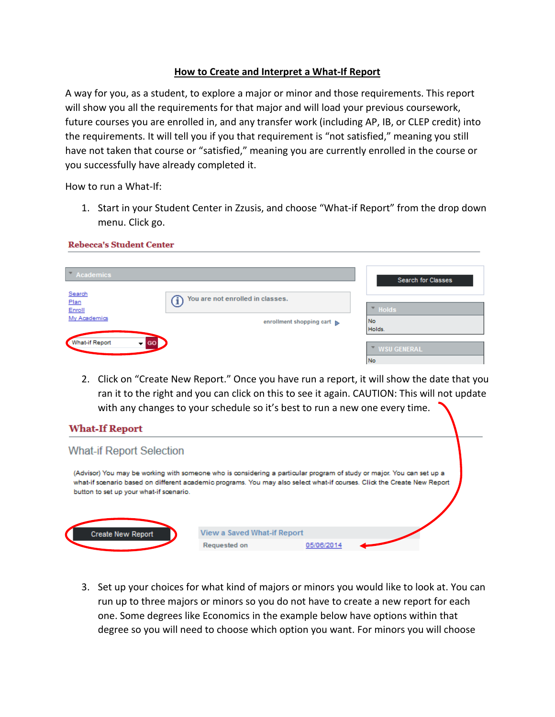## **How to Create and Interpret a What-If Report**

A way for you, as a student, to explore a major or minor and those requirements. This report will show you all the requirements for that major and will load your previous coursework, future courses you are enrolled in, and any transfer work (including AP, IB, or CLEP credit) into the requirements. It will tell you if you that requirement is "not satisfied," meaning you still have not taken that course or "satisfied," meaning you are currently enrolled in the course or you successfully have already completed it.

How to run a What-If:

1. Start in your Student Center in Zzusis, and choose "What-if Report" from the drop down menu. Click go.

## **Rebecca's Student Center**

| $\blacksquare$ Academics                                    |                                                              | <b>Search for Classes</b>                      |
|-------------------------------------------------------------|--------------------------------------------------------------|------------------------------------------------|
| Search<br>Plan<br>Enroll<br>My Academics                    | You are not enrolled in classes.<br>enrollment shopping cart | $\overline{\phantom{a}}$ Holds<br>No<br>Holds. |
| <b>What-if Report</b><br><b>GO</b><br>$\mathbf{v}^{\prime}$ |                                                              | <b>WSU GENERAL</b><br>No                       |

2. Click on "Create New Report." Once you have run a report, it will show the date that you ran it to the right and you can click on this to see it again. CAUTION: This will not update with any changes to your schedule so it's best to run a new one every time.

# **What-If Report What-if Report Selection** (Advisor) You may be working with someone who is considering a particular program of study or major. You can set up a what-if scenario based on different academic programs. You may also select what-if courses. Click the Create New Report button to set up your what-if scenario. View a Saved What-if Report Create New Report **Requested on** 05/06/2014

3. Set up your choices for what kind of majors or minors you would like to look at. You can run up to three majors or minors so you do not have to create a new report for each one. Some degrees like Economics in the example below have options within that degree so you will need to choose which option you want. For minors you will choose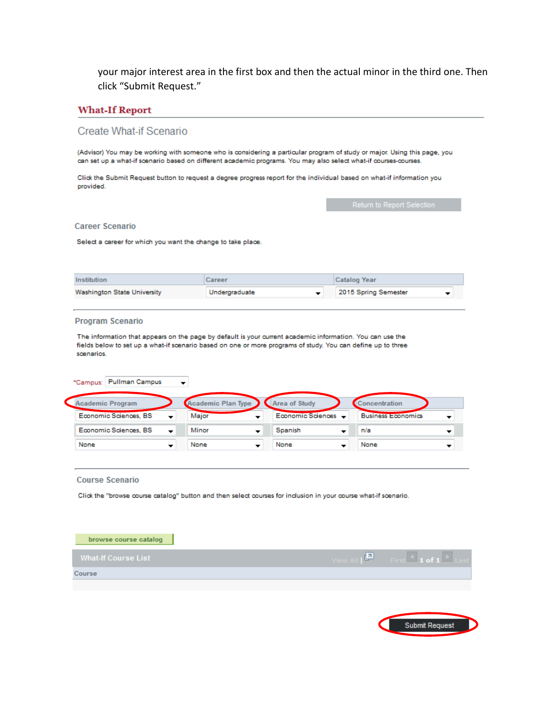your major interest area in the first box and then the actual minor in the third one. Then click "Submit Request."

### **What-If Report**

#### Create What-if Scenario

(Advisor) You may be working with someone who is considering a particular program of study or major. Using this page, you can set up a what-if scenario based on different academic programs. You may also select what-if courses-courses.

Click the Submit Request button to request a degree progress report for the individual based on what-if information you provided.

#### **Career Scenario**

Select a career for which you want the change to take place.

| Institution                        | Career        | Catalog Year         |
|------------------------------------|---------------|----------------------|
| <b>Washington State University</b> | Undergraduate | 2015 Spring Semester |

#### **Program Scenario**

The information that appears on the page by default is your current academic information. You can use the fields below to set up a what-if scenario based on one or more programs of study. You can define up to three scenarios.

| *Campus: Pullman Campus                           | ▼                     |                                                  |
|---------------------------------------------------|-----------------------|--------------------------------------------------|
| <b>Academic Program</b>                           | Academic Plan Type    | <b>Area of Study</b><br>Concentration            |
| Economic Sciences, BS<br>$\overline{\phantom{a}}$ | Major<br>▼            | Economic Sciences -<br><b>Business Economics</b> |
| Economic Sciences, BS<br>$\overline{\phantom{a}}$ | Minor<br>Spanish<br>▼ | n/a<br>▼<br>▼                                    |
| None                                              | None<br>None<br>▼     | None<br>▼                                        |

#### **Course Scenario**

Click the "browse course catalog" button and then select courses for inclusion in your course what-if scenario.

| browse course catalog      |                                                                                 |
|----------------------------|---------------------------------------------------------------------------------|
| <b>What-If Course List</b> | View All $\boxed{\blacksquare}$ First $\blacksquare$ 1 of 1 $\blacksquare$ Last |
| Course                     |                                                                                 |
|                            |                                                                                 |
|                            |                                                                                 |
|                            | <b>Submit Request</b>                                                           |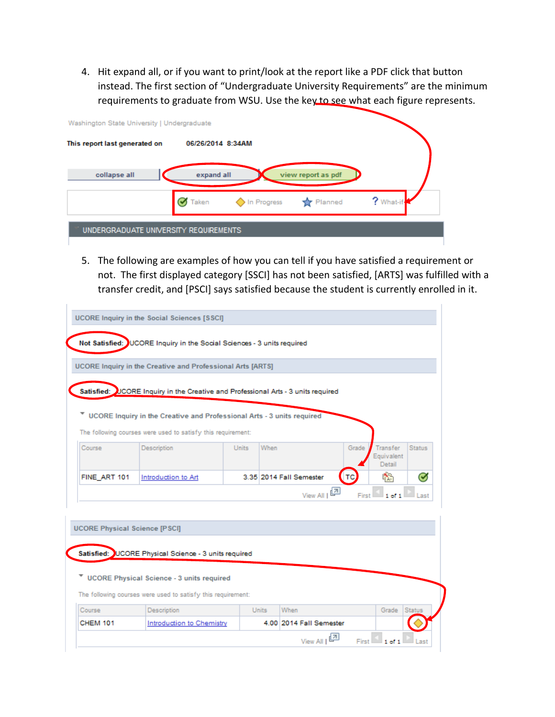4. Hit expand all, or if you want to print/look at the report like a PDF click that button instead. The first section of "Undergraduate University Requirements" are the minimum requirements to graduate from WSU. Use the key to see what each figure represents.

| Washington State University   Undergraduate |                   |             |                    |           |
|---------------------------------------------|-------------------|-------------|--------------------|-----------|
| This report last generated on               | 06/26/2014 8:34AM |             |                    |           |
| collapse all                                | expand all        |             | view report as pdf |           |
|                                             | Taken             | In Progress | <b>T</b> Planned   | ? What-if |
| UNDERGRADUATE UNIVERSITY REQUIREMENTS       |                   |             |                    |           |

5. The following are examples of how you can tell if you have satisfied a requirement or not. The first displayed category [SSCI] has not been satisfied, [ARTS] was fulfilled with a transfer credit, and [PSCI] says satisfied because the student is currently enrolled in it.

|              | UCORE Inquiry in the Creative and Professional Arts [ARTS]                        |              |                         |       |                                  |               |
|--------------|-----------------------------------------------------------------------------------|--------------|-------------------------|-------|----------------------------------|---------------|
|              | Satisfied: UCORE Inquiry in the Creative and Professional Arts - 3 units required |              |                         |       |                                  |               |
|              |                                                                                   |              |                         |       |                                  |               |
|              | V UCORE Inquiry in the Creative and Professional Arts - 3 units required          |              |                         |       |                                  |               |
|              | The following courses were used to satisfy this requirement:                      |              |                         |       |                                  |               |
| Course       | Description                                                                       | <b>Units</b> | When                    | Grade | Transfer<br>Equivalent<br>Detail | <b>Status</b> |
|              | Introduction to Art                                                               |              | 3.35 2014 Fall Semester | тс    | 嶠                                | σ             |
| FINE ART 101 |                                                                                   |              |                         |       |                                  |               |

|        | ▼ UCORE Physical Science - 3 units required                  |              |      |       |        |
|--------|--------------------------------------------------------------|--------------|------|-------|--------|
|        | The following courses were used to satisfy this requirement: |              |      |       |        |
|        |                                                              |              |      |       |        |
| Course | <b>Description</b>                                           | <b>Units</b> | When | Grade | Status |